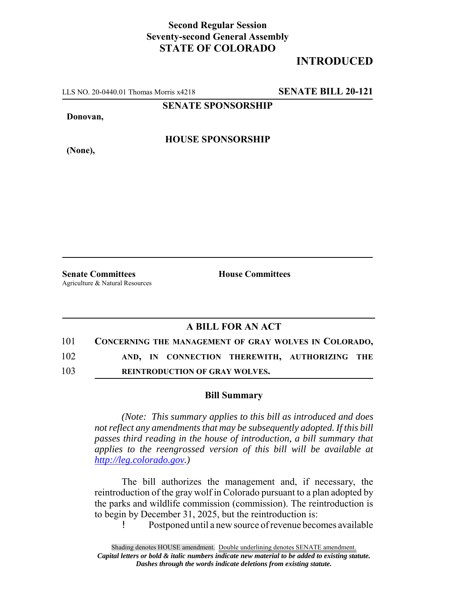## **Second Regular Session Seventy-second General Assembly STATE OF COLORADO**

# **INTRODUCED**

LLS NO. 20-0440.01 Thomas Morris x4218 **SENATE BILL 20-121**

**SENATE SPONSORSHIP**

**Donovan,**

**(None),**

#### **HOUSE SPONSORSHIP**

**Senate Committees House Committees** Agriculture & Natural Resources

### **A BILL FOR AN ACT**

| 101 | CONCERNING THE MANAGEMENT OF GRAY WOLVES IN COLORADO, |
|-----|-------------------------------------------------------|
| 102 | AND, IN CONNECTION THEREWITH, AUTHORIZING THE         |
| 103 | <b>REINTRODUCTION OF GRAY WOLVES.</b>                 |

#### **Bill Summary**

*(Note: This summary applies to this bill as introduced and does not reflect any amendments that may be subsequently adopted. If this bill passes third reading in the house of introduction, a bill summary that applies to the reengrossed version of this bill will be available at http://leg.colorado.gov.)*

The bill authorizes the management and, if necessary, the reintroduction of the gray wolf in Colorado pursuant to a plan adopted by the parks and wildlife commission (commission). The reintroduction is to begin by December 31, 2025, but the reintroduction is:

! Postponed until a new source of revenue becomes available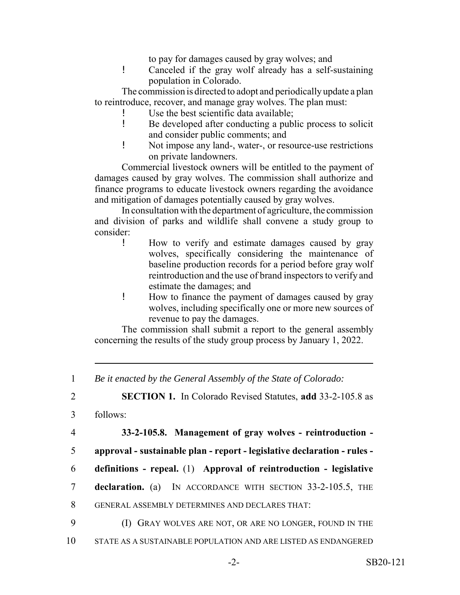to pay for damages caused by gray wolves; and

! Canceled if the gray wolf already has a self-sustaining population in Colorado.

The commission is directed to adopt and periodically update a plan to reintroduce, recover, and manage gray wolves. The plan must:

- ! Use the best scientific data available;
- ! Be developed after conducting a public process to solicit and consider public comments; and
- ! Not impose any land-, water-, or resource-use restrictions on private landowners.

Commercial livestock owners will be entitled to the payment of damages caused by gray wolves. The commission shall authorize and finance programs to educate livestock owners regarding the avoidance and mitigation of damages potentially caused by gray wolves.

In consultation with the department of agriculture, the commission and division of parks and wildlife shall convene a study group to consider:

- ! How to verify and estimate damages caused by gray wolves, specifically considering the maintenance of baseline production records for a period before gray wolf reintroduction and the use of brand inspectors to verify and estimate the damages; and
- ! How to finance the payment of damages caused by gray wolves, including specifically one or more new sources of revenue to pay the damages.

The commission shall submit a report to the general assembly concerning the results of the study group process by January 1, 2022.

1 *Be it enacted by the General Assembly of the State of Colorado:*

2 **SECTION 1.** In Colorado Revised Statutes, **add** 33-2-105.8 as

3 follows:

4 **33-2-105.8. Management of gray wolves - reintroduction -**

- 5 **approval sustainable plan report legislative declaration rules -**
- 6 **definitions repeal.** (1) **Approval of reintroduction legislative**
- 7 **declaration.** (a) IN ACCORDANCE WITH SECTION 33-2-105.5, THE
- 8 GENERAL ASSEMBLY DETERMINES AND DECLARES THAT:
- 9 (I) GRAY WOLVES ARE NOT, OR ARE NO LONGER, FOUND IN THE
- 10 STATE AS A SUSTAINABLE POPULATION AND ARE LISTED AS ENDANGERED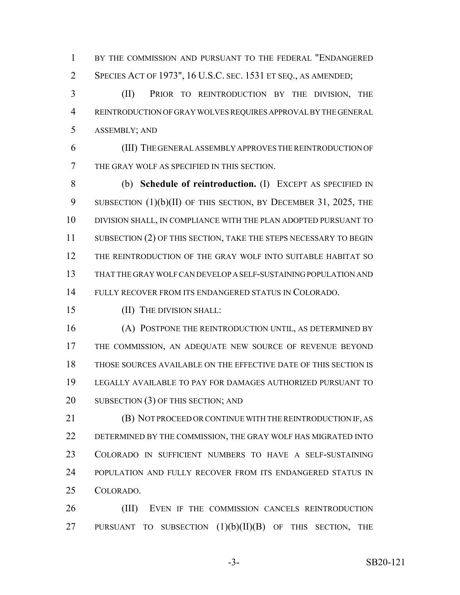1 BY THE COMMISSION AND PURSUANT TO THE FEDERAL "ENDANGERED SPECIES ACT OF 1973", 16 U.S.C. SEC. 1531 ET SEQ., AS AMENDED;

 (II) PRIOR TO REINTRODUCTION BY THE DIVISION, THE REINTRODUCTION OF GRAY WOLVES REQUIRES APPROVAL BY THE GENERAL ASSEMBLY; AND

 (III) THE GENERAL ASSEMBLY APPROVES THE REINTRODUCTION OF THE GRAY WOLF AS SPECIFIED IN THIS SECTION.

 (b) **Schedule of reintroduction.** (I) EXCEPT AS SPECIFIED IN 9 SUBSECTION (1)(b)(II) OF THIS SECTION, BY DECEMBER 31, 2025, THE DIVISION SHALL, IN COMPLIANCE WITH THE PLAN ADOPTED PURSUANT TO 11 SUBSECTION (2) OF THIS SECTION, TAKE THE STEPS NECESSARY TO BEGIN THE REINTRODUCTION OF THE GRAY WOLF INTO SUITABLE HABITAT SO THAT THE GRAY WOLF CAN DEVELOP A SELF-SUSTAINING POPULATION AND FULLY RECOVER FROM ITS ENDANGERED STATUS IN COLORADO.

(II) THE DIVISION SHALL:

 (A) POSTPONE THE REINTRODUCTION UNTIL, AS DETERMINED BY THE COMMISSION, AN ADEQUATE NEW SOURCE OF REVENUE BEYOND THOSE SOURCES AVAILABLE ON THE EFFECTIVE DATE OF THIS SECTION IS LEGALLY AVAILABLE TO PAY FOR DAMAGES AUTHORIZED PURSUANT TO 20 SUBSECTION (3) OF THIS SECTION; AND

 (B) NOT PROCEED OR CONTINUE WITH THE REINTRODUCTION IF, AS DETERMINED BY THE COMMISSION, THE GRAY WOLF HAS MIGRATED INTO COLORADO IN SUFFICIENT NUMBERS TO HAVE A SELF-SUSTAINING POPULATION AND FULLY RECOVER FROM ITS ENDANGERED STATUS IN COLORADO.

 (III) EVEN IF THE COMMISSION CANCELS REINTRODUCTION 27 PURSUANT TO SUBSECTION  $(1)(b)(II)(B)$  OF THIS SECTION, THE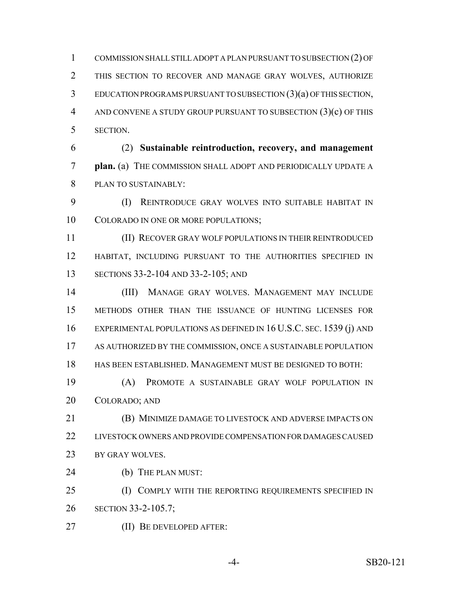COMMISSION SHALL STILL ADOPT A PLAN PURSUANT TO SUBSECTION (2) OF THIS SECTION TO RECOVER AND MANAGE GRAY WOLVES, AUTHORIZE EDUCATION PROGRAMS PURSUANT TO SUBSECTION (3)(a) OF THIS SECTION, AND CONVENE A STUDY GROUP PURSUANT TO SUBSECTION (3)(c) OF THIS SECTION.

 (2) **Sustainable reintroduction, recovery, and management plan.** (a) THE COMMISSION SHALL ADOPT AND PERIODICALLY UPDATE A PLAN TO SUSTAINABLY:

 (I) REINTRODUCE GRAY WOLVES INTO SUITABLE HABITAT IN COLORADO IN ONE OR MORE POPULATIONS;

 (II) RECOVER GRAY WOLF POPULATIONS IN THEIR REINTRODUCED HABITAT, INCLUDING PURSUANT TO THE AUTHORITIES SPECIFIED IN SECTIONS 33-2-104 AND 33-2-105; AND

 (III) MANAGE GRAY WOLVES. MANAGEMENT MAY INCLUDE METHODS OTHER THAN THE ISSUANCE OF HUNTING LICENSES FOR EXPERIMENTAL POPULATIONS AS DEFINED IN 16 U.S.C. SEC. 1539 (j) AND AS AUTHORIZED BY THE COMMISSION, ONCE A SUSTAINABLE POPULATION HAS BEEN ESTABLISHED. MANAGEMENT MUST BE DESIGNED TO BOTH:

 (A) PROMOTE A SUSTAINABLE GRAY WOLF POPULATION IN COLORADO; AND

 (B) MINIMIZE DAMAGE TO LIVESTOCK AND ADVERSE IMPACTS ON LIVESTOCK OWNERS AND PROVIDE COMPENSATION FOR DAMAGES CAUSED 23 BY GRAY WOLVES.

24 (b) THE PLAN MUST:

25 (I) COMPLY WITH THE REPORTING REQUIREMENTS SPECIFIED IN SECTION 33-2-105.7;

(II) BE DEVELOPED AFTER: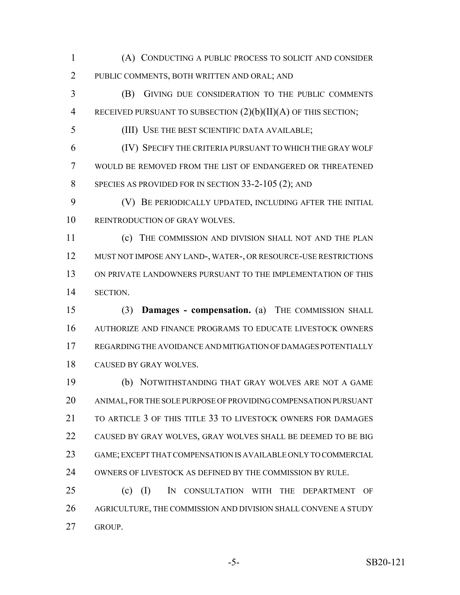(A) CONDUCTING A PUBLIC PROCESS TO SOLICIT AND CONSIDER PUBLIC COMMENTS, BOTH WRITTEN AND ORAL; AND

 (B) GIVING DUE CONSIDERATION TO THE PUBLIC COMMENTS RECEIVED PURSUANT TO SUBSECTION (2)(b)(II)(A) OF THIS SECTION;

(III) USE THE BEST SCIENTIFIC DATA AVAILABLE;

 (IV) SPECIFY THE CRITERIA PURSUANT TO WHICH THE GRAY WOLF WOULD BE REMOVED FROM THE LIST OF ENDANGERED OR THREATENED SPECIES AS PROVIDED FOR IN SECTION 33-2-105 (2); AND

 (V) BE PERIODICALLY UPDATED, INCLUDING AFTER THE INITIAL REINTRODUCTION OF GRAY WOLVES.

 (c) THE COMMISSION AND DIVISION SHALL NOT AND THE PLAN MUST NOT IMPOSE ANY LAND-, WATER-, OR RESOURCE-USE RESTRICTIONS ON PRIVATE LANDOWNERS PURSUANT TO THE IMPLEMENTATION OF THIS SECTION.

 (3) **Damages - compensation.** (a) THE COMMISSION SHALL AUTHORIZE AND FINANCE PROGRAMS TO EDUCATE LIVESTOCK OWNERS REGARDING THE AVOIDANCE AND MITIGATION OF DAMAGES POTENTIALLY CAUSED BY GRAY WOLVES.

 (b) NOTWITHSTANDING THAT GRAY WOLVES ARE NOT A GAME ANIMAL, FOR THE SOLE PURPOSE OF PROVIDING COMPENSATION PURSUANT 21 TO ARTICLE 3 OF THIS TITLE 33 TO LIVESTOCK OWNERS FOR DAMAGES CAUSED BY GRAY WOLVES, GRAY WOLVES SHALL BE DEEMED TO BE BIG GAME; EXCEPT THAT COMPENSATION IS AVAILABLE ONLY TO COMMERCIAL OWNERS OF LIVESTOCK AS DEFINED BY THE COMMISSION BY RULE.

 (c) (I) IN CONSULTATION WITH THE DEPARTMENT OF AGRICULTURE, THE COMMISSION AND DIVISION SHALL CONVENE A STUDY GROUP.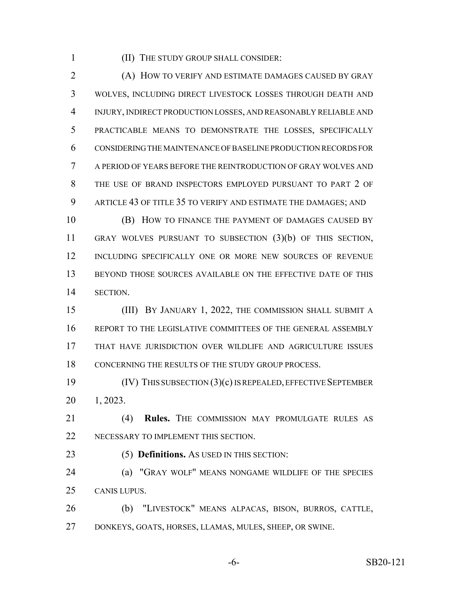(II) THE STUDY GROUP SHALL CONSIDER:

 (A) HOW TO VERIFY AND ESTIMATE DAMAGES CAUSED BY GRAY WOLVES, INCLUDING DIRECT LIVESTOCK LOSSES THROUGH DEATH AND INJURY, INDIRECT PRODUCTION LOSSES, AND REASONABLY RELIABLE AND PRACTICABLE MEANS TO DEMONSTRATE THE LOSSES, SPECIFICALLY CONSIDERING THE MAINTENANCE OF BASELINE PRODUCTION RECORDS FOR A PERIOD OF YEARS BEFORE THE REINTRODUCTION OF GRAY WOLVES AND THE USE OF BRAND INSPECTORS EMPLOYED PURSUANT TO PART 2 OF ARTICLE 43 OF TITLE 35 TO VERIFY AND ESTIMATE THE DAMAGES; AND

 (B) HOW TO FINANCE THE PAYMENT OF DAMAGES CAUSED BY GRAY WOLVES PURSUANT TO SUBSECTION (3)(b) OF THIS SECTION, INCLUDING SPECIFICALLY ONE OR MORE NEW SOURCES OF REVENUE BEYOND THOSE SOURCES AVAILABLE ON THE EFFECTIVE DATE OF THIS SECTION.

 (III) BY JANUARY 1, 2022, THE COMMISSION SHALL SUBMIT A REPORT TO THE LEGISLATIVE COMMITTEES OF THE GENERAL ASSEMBLY THAT HAVE JURISDICTION OVER WILDLIFE AND AGRICULTURE ISSUES CONCERNING THE RESULTS OF THE STUDY GROUP PROCESS.

 (IV) THIS SUBSECTION (3)(c) IS REPEALED, EFFECTIVE SEPTEMBER 1, 2023.

 (4) **Rules.** THE COMMISSION MAY PROMULGATE RULES AS NECESSARY TO IMPLEMENT THIS SECTION.

(5) **Definitions.** AS USED IN THIS SECTION:

 (a) "GRAY WOLF" MEANS NONGAME WILDLIFE OF THE SPECIES CANIS LUPUS.

 (b) "LIVESTOCK" MEANS ALPACAS, BISON, BURROS, CATTLE, DONKEYS, GOATS, HORSES, LLAMAS, MULES, SHEEP, OR SWINE.